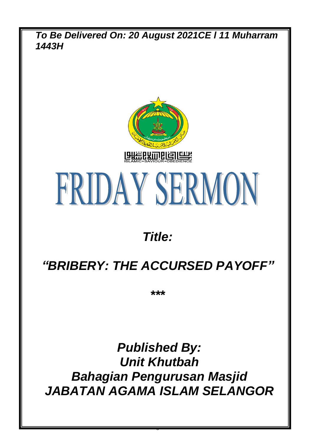



*Title:*

## *"BRIBERY: THE ACCURSED PAYOFF"*

*\*\*\**

*Published By: Unit Khutbah Bahagian Pengurusan Masjid JABATAN AGAMA ISLAM SELANGOR*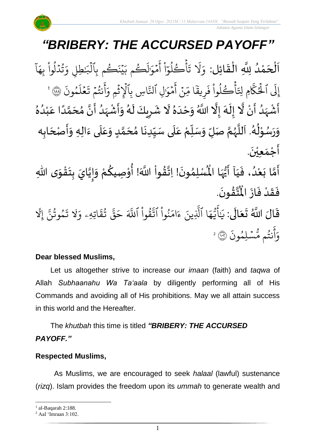## *"BRIBERY: THE ACCURSED PAYOFF"*

់<br>< اَلْحَمْدُ لِلَّهِ الْقَائِل:  $\overline{\phantom{a}}$ ֦֧֦֧֦֧֦֧֦֧֝֝֜֟֓֟֓֟֓֟֟֟֟֟֟֟֟֟֟֟֜֟֟֜֜**֦** َ **تا**<br>• و<br>و ش<br>م  $\frac{1}{2}$ ់<br>រ  $\tilde{1}$ ا ِ<br>ہ تُدۡلوا بِهَ <u>ہ</u> و<br>ا ل ہ<br>ا ور ِرِ طِلِ وَ َٰ  $\overline{\phantom{a}}$ يْنَكُم بِٱلَّبَٰ ر<br>1 ر ؚ<br>ۣ  $\tilde{\cdot}$ م ب ك و .<br>آ ل َٰ  $\overline{\phantom{a}}$ مَوَّا  $\frac{1}{2}$ ِ<br>ج أ **ٔ** ا  $\frac{1}{\epsilon}$ اڪُلوَ و<br>ا ر ده<br>چ  $\ddot{\mathbf{r}}$ ت ر<br>1 َل ِ<br>م و  $\ddot{\cdot}$ مُونَ و ر<br>آ ل ع  $\frac{1}{2}$  $\ddot{\cdot}$ نتُمۡ تَـ  $\frac{1}{2}$ و<br>په ِ<br>ج أ ِ<br>ہ اسِ بِالْإِثْمِ وَ ្ ہ<br>1 بة لِ النَّ َٰ  $\overline{\phantom{a}}$ مَوَّا  $\ddot{\phantom{0}}$ ِ<br>ج أ ؚ<br>ٛ ِن ر<br>م ا م ٗ يق ِ ر  $\ddot{\cdot}$ أُڪُلوا فَ **ٔ** و<br>ا ر<br>شم ہ<br>م َ ِم ِِل ىد<br>ئىم الحُكَّا و<br>ش ្ត<br>រ .<br>أ إِلَى ٱلْحُكَّامِ لِتَأْكُلُوا فَرِيقًا مِّنْ أُمْوَالِ ٱلنَّاسِ بِالْإِثْمِ وَأُنتُمْ تَعْلَمُونَ ۞ ' ْ ِ<br>أَشْہَدُ أَنْ لَّا إِلَهَ إِلَّا اللَّهُ وَحْدَهُ لَا شَرِيكَ لَهُ وَأَشْہَدُ أَنَّ مُحَمَّدًا عَبْدُهُ ِ<br>پنج و<br>ا  $\frac{1}{2}$ ْ ءِ<br>پن ا<br>ا َ<br>م  $\tilde{\mathbf{r}}$  $\frac{1}{2}$ ر<br>ا  $\frac{1}{2}$ ا<br>ا  $\frac{1}{2}$ ′<br>∱ ِ<br>ٌ و<br>ا ់<br>(  $\frac{1}{2}$ ً<br>أ ن<br>م )<br>ጎ لة<br>• ا<br>م: ر<br>ا ً<br>زار<br>ر ا<br>ف  $\frac{1}{2}$ ۔<br>م .<br>د  $\tilde{\mathbf{r}}$  $\overline{\phantom{a}}$  $\mathbf{r}$ وَرَسُوْلُهُ. اَللَّهُمَّ صَلِّ وَسَلِّمْ عَلَى سَيِّدِنَا مُحَمَّدٍ وَعَلَى ءَالِهِ وَأَصْحَابِه ์<br>•ั  $\overline{r}$  $\frac{1}{2}$ انا<br>م و<br>ر ا<br>آ َ و<br>گ  $\frac{2}{\pi}$ ់<br>្ ر<br>در  $\frac{1}{2}$  $\frac{1}{2}$ ِ<br>آ ِ<br>م  $\frac{1}{2}$ <u>ل</u> لة<br>م ُ<br>ጎ .<br>.<br>. ِ<br>∪<br>∫  $\frac{1}{2}$  $\frac{1}{2}$ ِ<br>آ .<br>م  $\frac{1}{2}$  $\frac{1}{2}$  $\overline{\phantom{a}}$  $\ddot{\phantom{0}}$  $\frac{1}{2}$  $\ddot{\phantom{0}}$ أَجْمَعِيْنَ. ់<br>**់**  $\frac{1}{\alpha}$  $\frac{1}{2}$  $\tilde{\mathbf{r}}$  $\tilde{\mathbf{z}}$ ُ ֧֦֧֦֧֦֧֦֧֦֧֦֧֦֧֦֧֘<br>֧֜֜֜֜֜֜֜֜֜

ِّ<br>أَمَّا بَعْدُ، فَيَا أَيُّهَا الْمُسْلِمُونَ! اِتَّقُواْ اللَّهَ! أُوْصِيكُمْ وَإِيَّايَ بِ َ  $\ddot{\cdot}$ و<br>ا ់<br>រ  $\ddot{\cdot}$ لة<br>م  $\frac{1}{2}$ ان<br>ا !<br>...  $\frac{1}{2}$ <u>و</u> י<br>י **ہیں** ا<br>المجموعة<br>المجموعة  $\ddot{\phantom{0}}$ ,<br>ለ يُّهَا الْمُسْلِمُونَ! اِتَّقُواْ اللَّهَ! أَوْصِيكُمْ وَإِيَّايَ بِتَقْوَى اللّٰهِ ِ<br>اس ار<br>•<br>•  $\frac{1}{2}$ ֦֧֦֧֦֧֦֧<u>֦</u>  $\ddot{\phantom{0}}$ . ∶<br>∙ ؾڤۏڹؘ <u>بر</u> ا<br>ابلا<br>ب ُْ فَقَدْ فَازَ الْمُ  $\ddot{\cdot}$  $\frac{1}{2}$ **ّ**  $\frac{1}{2}$  $\frac{1}{2}$ 

قَالَ اللَّهُ تَعَالَى: يَاََّيُّهَا ً<br>ا َ  $\ddot{\phantom{0}}$  $\ddot{\mathbf{r}}$ ه و<br>د سَ<br>ڊ ِ<br>ج  $\overline{\phantom{a}}$ َٰ ِ ر<br>يَاَّيُّهَا ٱلَّذِينَ لَّذِينَ ءَامَنُوا ؙ<br>; ُو<br>و  $\frac{1}{2}$ ام  $\tilde{\epsilon}$ ءَامَنُوا اتَّقُوا ْ مُ ور ان<br>به تَّقَوا ا ِ للَّهَ حَقَّ تُقَاتِهِ  $\ddot{\tilde{}}$ ق ت و<br>په ان<br>مو قٌ  $\tilde{\phantom{0}}$ حَقَّ ثَقَاتِهِۦ ِ<br>ہ وَلَا تَمُوثُنَّ إِ ً<br>أ مُوتَنَّ ور و  $\ddot{\cdot}$ تَمُوتُنَّ إِلَّا الأ  $\ddot{\cdot}$ ر<br>مَّسۡلِمُونَ و نتُم مَّ و<br>په ِ<br>ج أ ر<br>م وَأَنْتُم مُّسۡلِمُونَ ۞ ۚ

#### **Dear blessed Muslims,**

Let us altogether strive to increase our *imaan* (faith) and *taqwa* of Allah *Subhaanahu Wa Ta'aala* by diligently performing all of His Commands and avoiding all of His prohibitions. May we all attain success in this world and the Hereafter.

The *khutbah* this time is titled *"BRIBERY: THE ACCURSED PAYOFF."*

#### **Respected Muslims,**

As Muslims, we are encouraged to seek *halaal* (lawful) sustenance (*rizq*). Islam provides the freedom upon its *ummah* to generate wealth and

 $<sup>1</sup>$  al-Baqarah 2:188.</sup>

<sup>2</sup> Aal 'Imraan 3:102.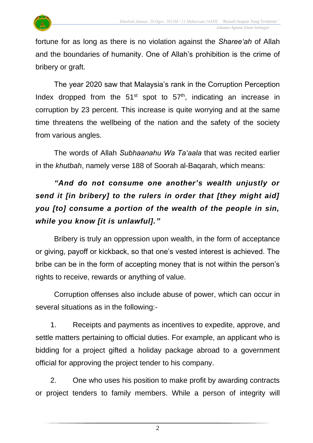

fortune for as long as there is no violation against the *Sharee'ah* of Allah and the boundaries of humanity. One of Allah's prohibition is the crime of bribery or graft.

The year 2020 saw that Malaysia's rank in the Corruption Perception Index dropped from the  $51<sup>st</sup>$  spot to  $57<sup>th</sup>$ , indicating an increase in corruption by 23 percent. This increase is quite worrying and at the same time threatens the wellbeing of the nation and the safety of the society from various angles.

The words of Allah *Subhaanahu Wa Ta'aala* that was recited earlier in the *khutbah*, namely verse 188 of Soorah al-Baqarah, which means:

### *"And do not consume one another's wealth unjustly or send it [in bribery] to the rulers in order that [they might aid] you [to] consume a portion of the wealth of the people in sin, while you know [it is unlawful]."*

Bribery is truly an oppression upon wealth, in the form of acceptance or giving, payoff or kickback, so that one's vested interest is achieved. The bribe can be in the form of accepting money that is not within the person's rights to receive, rewards or anything of value.

Corruption offenses also include abuse of power, which can occur in several situations as in the following:-

1. Receipts and payments as incentives to expedite, approve, and settle matters pertaining to official duties. For example, an applicant who is bidding for a project gifted a holiday package abroad to a government official for approving the project tender to his company.

2. One who uses his position to make profit by awarding contracts or project tenders to family members. While a person of integrity will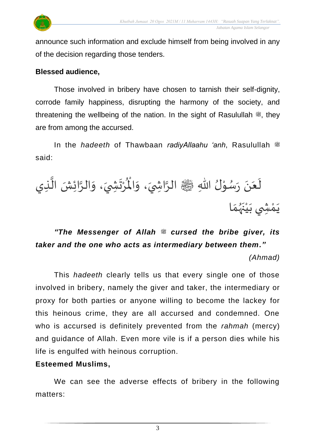

announce such information and exclude himself from being involved in any of the decision regarding those tenders.

#### **Blessed audience,**

Those involved in bribery have chosen to tarnish their self-dignity, corrode family happiness, disrupting the harmony of the society, and threatening the wellbeing of the nation. In the sight of Rasulullah  $\ddot{\mathcal{E}}$ , they are from among the accursed.

In the *hadeeth* of Thawbaan *radiyAllaahu 'anh*, Rasulullah <sup>28</sup> said:



**"The Messenger of Allah & cursed the bribe giver, its** *taker and the one who acts as intermediary between them."*

*(Ahmad)*

This *hadeeth* clearly tells us that every single one of those involved in bribery, namely the giver and taker, the intermediary or proxy for both parties or anyone willing to become the lackey for this heinous crime, they are all accursed and condemned. One who is accursed is definitely prevented from the *rahmah* (mercy) and guidance of Allah. Even more vile is if a person dies while his life is engulfed with heinous corruption.

#### **Esteemed Muslims,**

We can see the adverse effects of bribery in the following matters: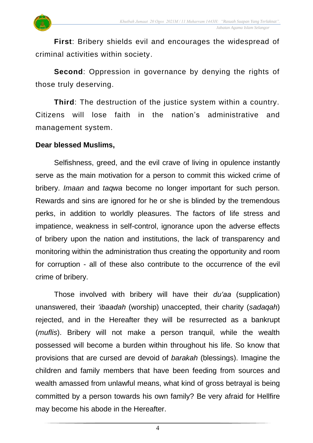**First**: Bribery shields evil and encourages the widespread of criminal activities within society.

**Second:** Oppression in governance by denying the rights of those truly deserving.

**Third**: The destruction of the justice system within a country. Citizens will lose faith in the nation's administrative and management system.

#### **Dear blessed Muslims,**

Selfishness, greed, and the evil crave of living in opulence instantly serve as the main motivation for a person to commit this wicked crime of bribery. *Imaan* and *taqwa* become no longer important for such person. Rewards and sins are ignored for he or she is blinded by the tremendous perks, in addition to worldly pleasures. The factors of life stress and impatience, weakness in self-control, ignorance upon the adverse effects of bribery upon the nation and institutions, the lack of transparency and monitoring within the administration thus creating the opportunity and room for corruption - all of these also contribute to the occurrence of the evil crime of bribery.

Those involved with bribery will have their *du'aa* (supplication) unanswered, their *'ibaadah* (worship) unaccepted, their charity (*sadaqah*) rejected, and in the Hereafter they will be resurrected as a bankrupt (*muflis*). Bribery will not make a person tranquil, while the wealth possessed will become a burden within throughout his life. So know that provisions that are cursed are devoid of *barakah* (blessings). Imagine the children and family members that have been feeding from sources and wealth amassed from unlawful means, what kind of gross betrayal is being committed by a person towards his own family? Be very afraid for Hellfire may become his abode in the Hereafter.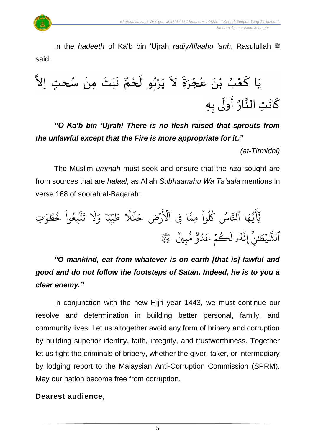

In the *hadeeth* of Ka'b bin 'Ujrah *radiyAllaahu 'anh*, Rasulullah <sup>*s* z</sup> said:

المحمد نَبَتَ مِنْ سُٰحتٍ إلاَّ  $\frac{1}{2}$ ِ<br>ِ ْ َ  $\frac{1}{1}$  $\ddot{\phantom{0}}$  $\frac{1}{\sqrt{2}}$ يَا كَعْبُ بْنَ عُجْرَةَ لاَ يَرْبُو لَحْمٌ ֦֧<u>֚</u>  $\tilde{\mathbf{r}}$ ُ<br>په<br>∙ ْ  $\overline{\phantom{a}}$  $\sim$  $\ddot{\phantom{0}}$  $\frac{1}{2}$ ֦֧<u>֚</u> و<br>م  $\ddot{\phantom{0}}$ ْ ُ ំ<br>រ ์<br>-<br>- $\overline{\phantom{a}}$ كَانَتِ النَّارُ أَولَى بِهِ  $\tilde{\mathbf{r}}$ —<br>∶  $\frac{1}{2}$ اتا<br>ج  $\ddot{\phantom{0}}$ ์<br>-<br>-

*"O Ka'b bin 'Ujrah! There is no flesh raised that sprouts from the unlawful except that the Fire is more appropriate for it."*

*(at-Tirmidhi)*

The Muslim *ummah* must seek and ensure that the *rizq* sought are from sources that are *halaal*, as Allah *Subhaanahu Wa Ta'aala* mentions in verse 168 of soorah al-Baqarah:

و بِعُوا خُطُ و<br>د **ٔ** و<br>م بر<br>مو ة<br>تم  $\ddot{\cdot}$ ت َ َل  $\frac{1}{\alpha}$ ا و .<br>.<br>د ِب ں<br>س س<br>پيد  $\tilde{\cdot}$ ط ֦֧֦<br>֧ׅ֦֦ׅ֝֜֜֜֜֜֜֜֜֜֜֜֜֜֜֜֜֜֜֜֜֘֜֡֜֟֓֟֓֟֓֟֓֟֓<br>֧֧֝֩֞֝ َٰٗل ِ<br>آ ل  $\tilde{\phantom{a}}$ رُضِ حَـ ہ<br>آگ ا فِی الا, ان<br>م ِمم وا ْ وو<br>سما ُك اس ُ بة ا الدَّ ِ<br>م ه و<br>د سَ<br>ڊ ِ<br>ج يَٰٓأَيُّهَا ٱلنَّاسُ كُلُواْ مِمَّا فِى ٱلْأَرْضِ حَلَلَا طَيِّبَا وَلَا تَتَّبِعُواْ خُطُوَتِ **َ** ر<br>و ِهِ ِني ب و<br>مم ت<br>م رو<br>ما و پر<br>لماو ُ ِ<br>م ڪُمُ عَـ  $\frac{1}{2}$ ر .<br>آ مٌو **ل** و<br>لھ بة ٱلشَّيْطَٰنِۚ إِنَّهُۥ لَكُمْ عَدُوٌّ مُّبِينٌ ۞  $\ddot{\phantom{0}}$ 

### *"O mankind, eat from whatever is on earth [that is] lawful and good and do not follow the footsteps of Satan. Indeed, he is to you a clear enemy."*

In conjunction with the new Hijri year 1443, we must continue our resolve and determination in building better personal, family, and community lives. Let us altogether avoid any form of bribery and corruption by building superior identity, faith, integrity, and trustworthiness. Together let us fight the criminals of bribery, whether the giver, taker, or intermediary by lodging report to the Malaysian Anti-Corruption Commission (SPRM). May our nation become free from corruption.

#### **Dearest audience,**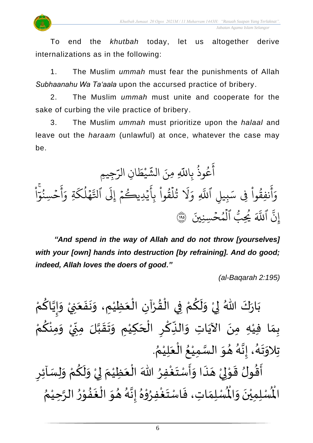To end the *khutbah* today, let us altogether derive internalizations as in the following:

1. The Muslim *ummah* must fear the punishments of Allah *Subhaanahu Wa Ta'aala* upon the accursed practice of bribery.

2. The Muslim *ummah* must unite and cooperate for the sake of curbing the vile practice of bribery.

3. The Muslim *ummah* must prioritize upon the *halaal* and leave out the *haraam* (unlawful) at once, whatever the case may be.

ِجِيمِ ِ<br>س ِن الر ا  $\frac{1}{2}$ ط ي ْ ়ু عُوذُ بِاللَّهِ مِنَ الشَّ و<br>په و<br>م ِ<br>ج أ ֦֧<u>֔</u> ْ ا ن<br>م حۡسِنۡوٓ ُو  $\frac{1}{2}$ ِ<br>ع أ  $\frac{1}{\alpha}$ ةِ و ر<br>م ك ل ه و<br>ا  $\frac{1}{2}$ بر<br>مو ٱِل .<br>ا يُدِيڪُمْ إِلَى  $\frac{1}{2}$ ر  $\ddot{\phantom{0}}$ ِ<br>ج تُلقَوا بِأَ ْ مُ و<br>په ہ<br>1 ور ر<br>1 َل  $\frac{1}{\alpha}$ ِ و بر<br>ا بِيلِ اللَّهِ ِ نفِقُوا فِی سَہ ؙ<br>
<sup>ب</sup> ور ِ<br>ج أ  $\frac{1}{c}$ و ٱلۡمُحۡسِنِينَ  $\frac{1}{2}$ و ہ<br>1 و<br>شا ِب ُي و<br>م ِ نَّ ٱللَّهَ يُحِبُّ ٱلۡمُحۡسِنِينَ ۞ إ

*"And spend in the way of Allah and do not throw [yourselves] with your [own] hands into destruction [by refraining]. And do good; indeed, Allah loves the doers of good."*

*(al-Baqarah 2:195)*

ْ بَارَكَ اللّهُ لِيْ وَلَكُمْ فِي الْقُرْآنِ الْعَظِيْمِ، وَنَفَعَنِيْ وَإِيَّاكُمْ َ  $\ddot{\cdot}$  $\ddot{\phantom{0}}$  $\frac{1}{2}$ ْ َ ֦֧֦֧֦֧֦֧֦֧֦֜֜֜֜֓֓֟֓<br>֧ׅׅ֝֜֜֜֜֜֜֜֜֜֜֬֜֜֜֜֬֟֓֟ ْ  $\frac{9}{4}$ ֦֧֦֧֦֧֦֧֦֧֦֧֦֧֦֧֜֜֜֓֓<br>**֡** ْ <u>و</u>  $\tilde{\mathbf{r}}$  $\frac{1}{2}$ ْ  $\frac{1}{2}$  $\ddot{\phantom{0}}$ ْ ِ<br>م ن<br>• !<br>-<br>- $\tilde{\cdot}$ ំ<br>រ بِمَا فِيْهِ مِنَ الآيَاتِ وَالنِّكْرِ الْحَكِيْمِ وَتَقَبَّلَ مِنِّيْ وَمِنْكُمْ  $\overline{\phantom{a}}$ ֝֟<br>֧֧֟֝֟֝  $\overline{\phantom{a}}$ ؚ<br>م ِ ์ $\frac{1}{2}$ ِ<br>پُ  $\ddot{\phantom{0}}$ ំ<br>រ  $\frac{1}{2}$ ْ ِ<br>م ْ  $\tilde{\cdot}$ ْ ั้<br>∙ู  $\sum$ ن<br>ا  $\frac{1}{2}$  $\frac{1}{2}$  $\tilde{\cdot}$ . ़<br>१ تِلاوَتَهُ، إِنَّهُ هُوَ السَّمِيْعُ الْعَلِيْمُ ْ  $\frac{1}{2}$ ֦֧֦֧֦֧֦֧֦֜֜֜֜֜֜֜֜<br>֧ׅׅ֝֜֜֜֜֜֜֜֜֜֜֜֝֜֜֝֜<del>֟</del> ُ ំ<br>រ ا<br>ما  $\frac{1}{2}$ ُ و<br>گ تة<br>•  $\frac{1}{2}$ .<br>१<br>1  $\ddot{\phantom{0}}$  $\frac{1}{2}$ ارا<br>ج ्<br>नि

 $\sum$ أَقُولُ قَوْلِيْ هَذَا وَأَسْتَغْفِرُ اللّٰهَ الْعَظِيْمَ لِيْ وَلَكُمْ وَلِسَاْئِرِ  $\tilde{\cdot}$ ْ <u>ل</u>  $\tilde{\mathbf{r}}$  $\frac{1}{2}$ ْ إ  $\frac{1}{2}$ ْ َ ֦֧<sup>֦</sup> ∫<br>∕ ِ<br>وف  $\ddot{\phantom{0}}$  $\frac{1}{2}$  $\ddot{\cdot}$  $\overline{\phantom{a}}$ ំ<br>, لمح י<br>י  $\frac{1}{2}$ ر<br>ژ ُ<br>∕ ري<br>لْمُسْلِمَاتِ، فَاسْتَغْفِرُوْهُ إِنَّهُ هُوَ الْغَفُوْرُ الرَّحِيْمُ ْ ن<br>ا  $\frac{1}{\sqrt{2}}$ ֦֧<sup>֦</sup>  $\frac{1}{2}$ **ِ** י<br>י  $\ddot{\ }$  $\frac{1}{2}$ ر<br>گ لة<br>•  $\frac{1}{2}$ ا<br>ِم י<br>י **ہ**<br>• ِ<br>وف  $\ddot{\phantom{0}}$  $\ddot{\cdot}$  $\frac{1}{\lambda}$ ر۔<br>لْمُسْلِمِيْنَ وَالْمُ  $\frac{1}{2}$  $\ddot{\phantom{0}}$ ់<br>**់** الْم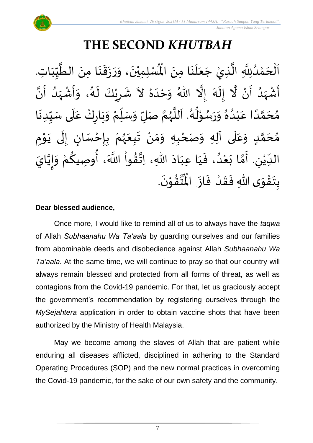# **THE SECOND** *KHUTBAH*

لْمُسْلِمِيْنَ، وَرَزَقَنَا مِنَ الطَّيِّبَاتِ  $\frac{1}{1}$ しんこ ِّسِ ان<br>ا  $\ddot{\phantom{0}}$  $\ddot{\phantom{0}}$  $\frac{1}{2}$  $\ddot{\cdot}$  $\ddot{\phantom{0}}$  $\tilde{\cdot}$  $\ddot{\phantom{0}}$ ់<br>**រ** اَلْحَمْدُلِلَّهِ الَّذِيْ جَعَلَنَا مِنَ الْمُسْلِمِيْنَ، وَرَزَقَنَا مِنَ الطَّيِّبَاتِ.  $\ddot{\phantom{0}}$  $\ddot{\phantom{0}}$ ِ<br>ا  $\frac{1}{2}$  $\ddot{\phantom{0}}$ ا<br>ا ان<br>ا و<br>و **ٔ**  $\overline{\phantom{a}}$ ֦֧֦֧֦֧֦֧֦֧֦֦֧֜֜֜֜֓֓֟֓֟֓֟֓֕<br>**֡** َ ا<br>ا أَشْهَدُ أَنْ لَّا إِلَهَ إِلَّا اللّهُ وَحْدَهُ لاَ شَرِيْكَ لَهُ، وَأَشْهَدُ أَنَّ ْ ر<br>پنج ٍ<br>و  $\frac{1}{2}$ ْ ِ<br>پ ا<br>الم ر<br>ح  $\tilde{\cdot}$  $\frac{1}{2}$ .<br>९<br>न  $\lambda$  $\frac{1}{2}$ َ<br>ا  $\tilde{\cdot}$ ا<br>•<br>• -<br>پ ر<br>د  $\frac{1}{2}$ ْ  $\frac{1}{2}$  $\tilde{\cdot}$ ر<br>ر<br>ا  $\tilde{\mathbf{r}}$ ٝ<br>ؙ  $\overline{\phantom{a}}$  $\frac{1}{2}$ ِّبِّ  $\overline{r}$ مُحَمَّدًا عَبْدُهُ وَرَسُوْلُهُ. اَللَّهُمَّ صَلِّ وَسَلِّمْ وَبَارِكْ عَلَى سَيِّدِنَا  $\tilde{\cdot}$ ن<br>م ر<br>ر<br>ر ا<br>آ َ و<br>گ  $\frac{1}{2}$ ់<br>្ و<br>م  $\frac{1}{2}$  $\tilde{\cdot}$  $^{\circ}$ ٍ<br>'' ْ ِ<br>م ً<br>أ ت<br>م  $\overline{\phantom{a}}$  $\frac{1}{2}$  $\ddot{\phantom{0}}$ ِّ しんこ ۔<br>آ  $\frac{1}{2}$ ْ  $\ddot{\phantom{0}}$  $\tilde{\cdot}$ ْ مُحَمَّدٍ وَعَلَى آلِهِ وَصَحْبِهِ وَمَنْ تَبِعَهُمْ بِإِحْسَانٍ إِلَى يَوْمِ <u>ل</u> ت<br>م  $\overline{\phantom{a}}$  $\frac{1}{2}$  $\overline{\mathbf{r}}$ ً<br>م  $\tilde{\cdot}$ י<br>י ا<br>با<br>•  $\ddot{\phantom{0}}$ ل  $\frac{1}{2}$ ر<br>! ْ <u>د</u><br>-ْ ر<br>ر<br>ر  $\frac{1}{2}$  $\ddot{\phantom{0}}$ ْ  $\frac{1}{2}$  $\frac{1}{2}$ ֦֧<u>֦</u> الدِّيْنِ. أَمَّا بَعْدُ، فَيَا عِبَادَ اللّهِ، اِتَّقُواْ اللَّهَ، أُوصِيكُمْ وَإِيَّايَ ا<br>ا<br>• !<br>-<br>- $\frac{1}{2}$ ِ<br>ْم <u>ل</u> ُ<br>پنج ٔ<br>ا ′<br>مو ن<br>\*  $\ddot{\phantom{0}}$  $\frac{1}{1}$ َ  $\frac{1}{2}$ ٍ<br>'' ْ  $\ddot{\ }$ ت<br>م  $\frac{1}{2}$ ليا ْ  $\frac{1}{\sqrt{2}}$ .  $\ddot{\phantom{0}}$ تقوْنَ ֦֧֝֝֝<br>**֧**  $\frac{9}{4}$ ا<br>استقطا<br>جوا ُ<br>مو بِتَقْوَى اللّهِ فَقَدْ فَازَ الْمُ  $\ddot{\cdot}$  $\frac{1}{2}$ ْ  $\frac{1}{2}$  $\frac{1}{2}$  $\frac{1}{2}$ ֝֝֝֝֝<br>**֧**֝֟֟  $\ddot{\ }$  $\ddot{\cdot}$ 

#### **Dear blessed audience,**

Once more, I would like to remind all of us to always have the *taqwa* of Allah *Subhaanahu Wa Ta'aala* by guarding ourselves and our families from abominable deeds and disobedience against Allah *Subhaanahu Wa Ta'aala*. At the same time, we will continue to pray so that our country will always remain blessed and protected from all forms of threat, as well as contagions from the Covid-19 pandemic. For that, let us graciously accept the government's recommendation by registering ourselves through the *MySejahtera* application in order to obtain vaccine shots that have been authorized by the Ministry of Health Malaysia.

May we become among the slaves of Allah that are patient while enduring all diseases afflicted, disciplined in adhering to the Standard Operating Procedures (SOP) and the new normal practices in overcoming the Covid-19 pandemic, for the sake of our own safety and the community.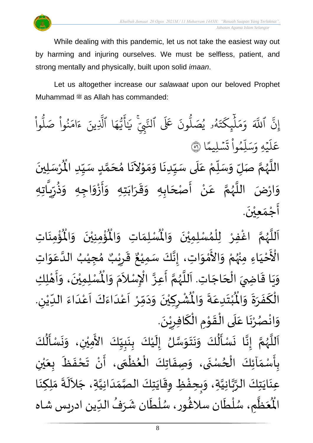While dealing with this pandemic, let us not take the easiest way out by harming and injuring ourselves. We must be selfless, patient, and strong mentally and physically, built upon solid *imaan*.

Let us altogether increase our *salawaat* upon our beloved Prophet Muhammad  $\stackrel{\text{\tiny def}}{=}$  as Allah has commanded:

ا<br>په ِن ٱ إ ِ<br>آ للَّهَ وَمَلْيِكْتَهُ و<br>لھ  $\ddot{\phantom{0}}$ ت ر<br>م چکے<br>غ ِ<br>ا  $\uplambda$  $\frac{1}{2}$ بر<br>م  $\frac{1}{c}$ وَمَلَّيٖكَتَهُۥ يُصَلُّونَ عَلَى ون و<br>ا يُصَلُّونَ عَلَى ٱلنَّبِيِّ و<br>د لنَّبِّيّ يَالَّيُهَا ِ<br>م ه و<br>د سَ<br>ڊ ِ<br>ج  $\overline{\mathcal{L}}$ َٰ ِ يَاًيُّهَا ٱلَّذِينَ ب<br>ا لَّذِينَ ءَامَنُوا صَلُوا ّ و<br>ا نُواْ صَلُّ <u>ہ</u><br>ا ُو  $\frac{1}{2}$ ام  $\tilde{\epsilon}$ ء ا  $\frac{2}{3}$ ن*ش*ليمً  $\ddot{\phantom{0}}$  $\ddot{\cdot}$ ت **ٔ** وا ِم و<br>م ں<br>آ ل ِ<br>م بر<br>سد ِ<br>م يَّهِ وَ<sub>َ</sub>  $\ddot{\phantom{0}}$ ر<br>آ عَلَيْهِ وَسَلِّمُواْ تَسْلِيمًا ۞ اللَّهُمَّ صَلِّ وَسَلِّمْ عَلَى سَيِّدِنَا وَمَوْلاَنَا مُحَمَّدٍ سَيِّدِ الْمُرْسَلِينَ  $\ddot{\phantom{0}}$ ْ  $\ddot{\hat{}}$ للَّهُمَّ صَلِّ وَسَلِّمْ عَلَى سَيِّدِنَا وَمَوْلاَنَا مُحَمَّدٍ سَيِّدِ الْمُ ِّ  $\frac{1}{2}$ <u>لم</u> ت<br>م  $\overline{\phantom{a}}$ )<br>ጎ  $\tilde{\mathbf{r}}$  $\sim$ ֦֝<br>֝**֝**  $\frac{1}{2}$  $\frac{1}{2}$  $\ddot{\phantom{0}}$  $\frac{1}{2}$ سطح<br>ا .<br>م ْ ِ<br>پ  $\overline{r}$  $\frac{1}{2}$ انا<br>م و<br>ر<br>ر ا<br>آ وَارْضَ اللَّهُمَّ عَنْ أَصْحَابِهِ وَقَرَابَتِهِ وَأَزْوَاجِهِ وَذُرِّيَّاتِهِ .<br>تا  $^{\prime}$ ر ا<br>باد<br>•  $\frac{1}{2}$  $\tilde{\cdot}$ ،<br>ڊ —<br>:<br>:  $\frac{1}{2}$  $\ddot{\phantom{0}}$  $\frac{1}{2}$  $\frac{1}{2}$  $\frac{1}{2}$ َ با<br>ج ْ َ<br>م ن<br>م ر<br>ر<br>ر ا<br>آ  $\frac{1}{2}$  $\frac{1}{2}$ أَجْمَعِيْنَ ֦֧֦֧֦֧<u>֦</u> ।<br>न्  $\ddot{\phantom{0}}$ ْ .

ؙۊؙٝڡؚڹؘٵتؚ  $\ddot{\phantom{0}}$ ់<br>: ُْ ُؤْمِنِيْنَ ۖ وَالْمُ  $\tilde{\cdot}$  $\ddot{\phantom{0}}$ ْ ់<br>: ہ<br>ا ِ<br>لْمُ*سْ*لِمَاتِ وَالْمُ  $\frac{1}{2}$  $\frac{1}{\sqrt{2}}$ ِ<br>اَللَّهُمَّ اغْفِرْ لِلْمُسْلِمِيْنَ وَالْمُ  $\frac{1}{2}$  $\ddot{\phantom{0}}$ ់<br>រ ,<br>ለ ֦֧֦֧֦֧֦֧֦֧֦֧֦֧֦֧֜֜֓֓<br>֧ׅ֦֝֜֜֜֜֜֜֜֜֜֜֜֜֜֜֜֞֜֜֜ ْ ن<br>م ر<br>ر<br>ر ا<br>آ  $\mathbf{r}$ ـــ<br>م<br>م الْأَحْيَاءِ مِنْهُمْ وَالأَمْوَاتِ، إِنَّكَ سَمِيْعٌ قَرِيْبٌ مُجِيْبُ الدَّعَوَاتِ َ ֦֧֦֧<u>֦</u> ْ بو<br>زر ់<br>•  $\frac{1}{2}$ י<br>ה ں<br>ج  $\ddot{\ }$ .<br>م ا<br>ا ُ ْ )<br>ጎ ه<br>د ا قَرِرْ  $\overline{\phantom{a}}$  $\frac{1}{2}$ ٌ ، إِنَّكَ سَمِيْعٌ ْ ا<br>با<br>:  $\frac{1}{2}$ وَيَا قَاضِيَ الْحَاجَاتِ. اَللَّهُمَّ أَعِزَّ الْإِسْلاَمَ وَ  $\overline{\phantom{a}}$ ֦֧֦֧֦֧֦֧֦֧֦֧֦֧֦֟֓<br>**֧**  $\overline{a}$ ֝֟֝<br>֝֝֝֝֝֝֝֝֝֝֝֝֝֝֝֝֝֝֝֝֝֝<br>֝֝**֝**  $\frac{1}{2}$  $\frac{1}{2}$ ر<br>آ ة<br>أ و<br>ر<br>ر ن<br>م —<br>:<br>: ا<br>به ا<br>م  $\tilde{\zeta}$ .<br>د  $\tilde{\cdot}$  $\ddot{\hat{}}$ الْمُمْلِمِيْنَ، وَأَهْلِكِ ا<br>م ْ ي  $\ddot{\phantom{0}}$  $\overline{1}$ י<br>**י** ا<br>با  $\tilde{\cdot}$ . ڔ ُشْرِكِيْنَ وَدَمِّرْ أَعْدَاءَكَ أَعْدَاءَ اللدِّيْنِ ْ ِّ  $\frac{1}{2}$ ا<br>ا<br>ا ۔<br>م ۔<br>آ َ<br>و  $\frac{1}{2}$ ا<br>-<br>ا ْ ۔<br>آ ّ<br>ا<br>ا ້ $\frac{1}{2}$  $\sim$  $\tilde{\phantom{a}}$  $\ddot{\phantom{0}}$ ់<br><sup>•</sup>  $\frac{1}{2}$ ْ  $\ddot{\text{r}}$ ُبْتَدِعَةً وَالْمُ  $\frac{1}{2}$  $\frac{1}{2}$ .<br>م  $\ddot{\ }$ ۫<br>ْ  $\ddot{\bm{r}}$ الْكَفَرَةَ وَالْمُ ์ $\tilde{\cdot}$  $\frac{1}{2}$  $\frac{1}{2}$  $\ddot{\cdot}$ ์<br>-<br>-بـــ<br>أ .  $\ddot{\phantom{0}}$ وَانْصُرْنَا عَلَى الْقَوْمِ الْكَافِرِيْنَ ٝ<br>ٔ  $\frac{1}{2}$ ์<br>้ ّ<br>أ  $\frac{1}{2}$ ֦֦֝<br>**֝**  $\frac{1}{2}$ ْ<br>ا  $\overline{\phantom{a}}$ .<br>م  $\ddot{\phantom{0}}$ ۠<br>۠ **ہ** ْ  $\tilde{\phantom{a}}$ 

-<br>اَللَّهُمَّ إِنَّا نَسْأَلُكَ وَنَتَوَسَّلُ إِلَيْكَ بِنَبِيِّكَ الأَمِيْنِ، وَنَسْأَلُكَ ِّ しんけい ا<br>با  $\ddot{\phantom{0}}$  $\ddot{\cdot}$ ំ<br>រ  $\tilde{\mathbf{r}}$  $\frac{1}{2}$ ا<br>ما  $\frac{1}{2}$  $\ddot{\phantom{0}}$  $\ddot{\phantom{0}}$  $\frac{1}{2}$ ُمُ<br>اُ∱  $\frac{1}{2}$  $\ddot{\cdot}$ لة<br>•  $\frac{1}{2}$ انا<br>م ر<br>ر ا<br>آ ्<br>। َ<br>ج ُ<br>الج  $\frac{1}{2}$  $\ddot{\phantom{0}}$  $\frac{1}{2}$ ْ .<br>بِأَسْمَآئِكَ الْحُسْنَى، وَصِفَاتِكَ الْعُظُمَى، أَنْ تَحْفَظَ بِعَيْنِ ์  $\frac{1}{2}$ <u>د</u><br>:  $\ddot{\phantom{0}}$ و<br>ا ֦֧֦֧֦֧֦֧<br>֧֝֜֜֜ ر<br>م ֦֧֦֧֦֧֦֧֦֧֦֧֦֧֦֧֦֧֦֧֦֧֦֧֝֝֟֓֓<u>֚</u>  $\frac{1}{2}$ ֦֧֦֧֦֧֦֧֦֦֟֜֜֜֜֜֜֜֜<br>֧ׅׅׅ֛֛֝֜֜֜֜֜֜֜֜֜֝֜֜֝֜֜  $\ddot{\cdot}$  $\tilde{\cdot}$ ْ ي  $\frac{1}{2}$  $\frac{1}{\sqrt{2}}$  $\ddot{\cdot}$  $\frac{1}{2}$ ْ  $\sum_{i=1}^{n}$ ِ<br>عِنَايَتِكَ الرَّبَّانِيَّةِ، وَبِحِفْظِ وِقَايَتِكَ الصَّمَدَانِيَّةِ، جَلاَلَةَ مَلِكِنَا انہ<br>ا ن<br>ما<br>۸ ا<br>په  $\ddot{\phantom{0}}$  $\ddot{\phantom{0}}$  $\sim$ اتا<br>ا  $\frac{1}{1}$  $\frac{1}{2}$ ات<br>در  $\ddot{\phantom{0}}$  $\frac{1}{2}$ ້<br>: ا<br>م  $\frac{1}{2}$  $\ddot{\cdot}$ ِ<br>الم  $\ddot{\phantom{0}}$  $\frac{1}{2}$  م ظ ع ر<br>آباد  $\frac{1}{2}$ بر<br>مو الْمُعَظَّمِ، سُلْطَان سلَاغُور، سُلْطَان شَرَفُ الدِّين ادريس شاه ر<br>م ة<br>أ ر<br>ر و<br>م  $\frac{1}{\sqrt{2}}$ ُ  $\mathbf{r}$ ا<br>م ់<br>( ر<br>ر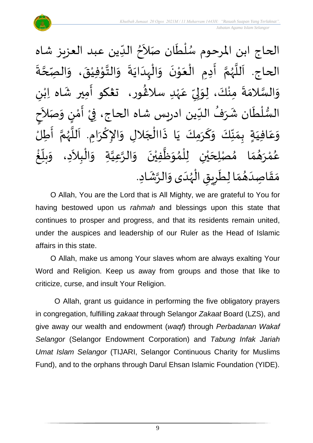

 $\lambda$ الحاج ابن المرحوم سُلْطَان صَلاَحُ الدِّين عبد العزيز شاه  $\ddot{\phantom{0}}$ ់<br>( و<br>ر  $\frac{1}{\sqrt{2}}$ ُ  $\ddot{\cdot}$ الحاج. اَللَّهُمَّ أَدِمِ الْعَوْنَ وَالْبِدَايَةَ وَالتَّوْفِيْقَ، وَالْصِّحَّةَ ة<br>م  $\frac{1}{2}$  $\frac{1}{2}$ ់<br>រ י<br>י ا<br>الم  $\frac{1}{2}$  $\ddot{\cdot}$  $\ddot{\phantom{0}}$ ا<br>ا ้<br>∤  $\frac{1}{2}$  $\ddot{\phantom{0}}$ ់<br>^ َ ْ  $\frac{1}{2}$ َ ا<br>م و<br>ر ا<br>آ ،<br>آ ى<br>وَالسَّلامَةَ مِنْكَ، لِوَلِيِّ عَهْدِ سلاڠُورِ، تَعْكُو أَمِيرِ شَاه اِبْنِ ٝ<br>ْ .<br>م ِّ  $\frac{1}{2}$ ل  $\frac{1}{2}$ ْ  $\ddot{ }$  $\frac{1}{2}$ ا<br>ما  $\frac{1}{2}$ }<br>፟**፟** ٝ<br>ؙ  $\frac{1}{2}$ َ السُّلْطَان شَرَفُ الدِّين ادريس شاه الحاج، فِيْ ــ<br>ٌ ُ  $\frac{1}{2}$ َ<br>ا ٝ<br>ا ل ر<br>سر<br>سر  $\frac{1}{2}$ ْ ्<br>र الأ صَ  $\tilde{\cdot}$ ن و )<br>إ י<br>י م  $\sum_{i=1}^{n}$ أ ।<br>इ م<br>ح<br>ح  $\frac{1}{2}$ وَعَافِيَةٍ بِمَنَّكَ وَكَرَمِكَ يَا ذَاالْجَلالِ وَالإِكْرَامِ. اَللَّهُمَّ أَطِلُ  $\frac{1}{2}$ َ .<br>م  $\frac{1}{2}$ ا<br>:<br>: ن<br>م .<br>ر<br>ر سم<br>تار<br>ا  $\overline{\phantom{a}}$  $\frac{1}{2}$ ْ  $\frac{1}{2}$  $\overline{\phantom{a}}$ ا<br>أ  $\ddot{\cdot}$  $\ddot{\phantom{0}}$ ์<br>-<br>- $\frac{1}{2}$  $\frac{1}{2}$  $\frac{1}{2}$  $\sim$ الْبِلاَدِ، وَ ֦֧֦֧֦֧֝<u>֦</u> ا<br>ا<br>م .<br>ا مُصْلِحَيْنِ لِلْمُوَظَّفِيْنَ وَالرَّعِيَّةِ وَ انہ<br>ا ان<br>م ์ $\overline{\phantom{a}}$  $\ddot{\phantom{0}}$ ់<br>រ ا<br>ا  $\frac{1}{2}$ ُ<br>አ ់<br>ព្ ْ ي  $\overline{\phantom{a}}$ )<br>ጎ  $\frac{1}{2}$ م  $\frac{1}{2}$ و<br>ها رَ **ٔ** ه<br>لم و<br>م و<br>ڪ ້<br>.<br>. غ ِّ<br>ا  $\sum_{i=1}^{n}$ بلاً  $\frac{1}{2}$ م<br>م مَقَاصِدَهُمَا لِطَرِيقِ الْهُدَى وَالرَّشَادِ. ر<br>ر<br>ر ֦֧֦֧֦֧֦֧֦֟֜֜֜֜֜֜֜֜<br>֧֝֜֜ joy  $\sum$  $\frac{1}{\epsilon}$  $\frac{1}{2}$  $\frac{1}{2}$ َ  $\frac{1}{2}$  $\frac{1}{2}$ ្រ  $\tilde{\cdot}$ 

O Allah, You are the Lord that is All Mighty, we are grateful to You for having bestowed upon us *rahmah* and blessings upon this state that continues to prosper and progress, and that its residents remain united, under the auspices and leadership of our Ruler as the Head of Islamic affairs in this state.

O Allah, make us among Your slaves whom are always exalting Your Word and Religion. Keep us away from groups and those that like to criticize, curse, and insult Your Religion.

O Allah, grant us guidance in performing the five obligatory prayers in congregation, fulfilling *zakaat* through Selangor *Zakaat* Board (LZS), and give away our wealth and endowment (*waqf*) through *Perbadanan Wakaf Selangor* (Selangor Endowment Corporation) and *Tabung Infak Jariah Umat Islam Selangor* (TIJARI, Selangor Continuous Charity for Muslims Fund), and to the orphans through Darul Ehsan Islamic Foundation (YIDE).